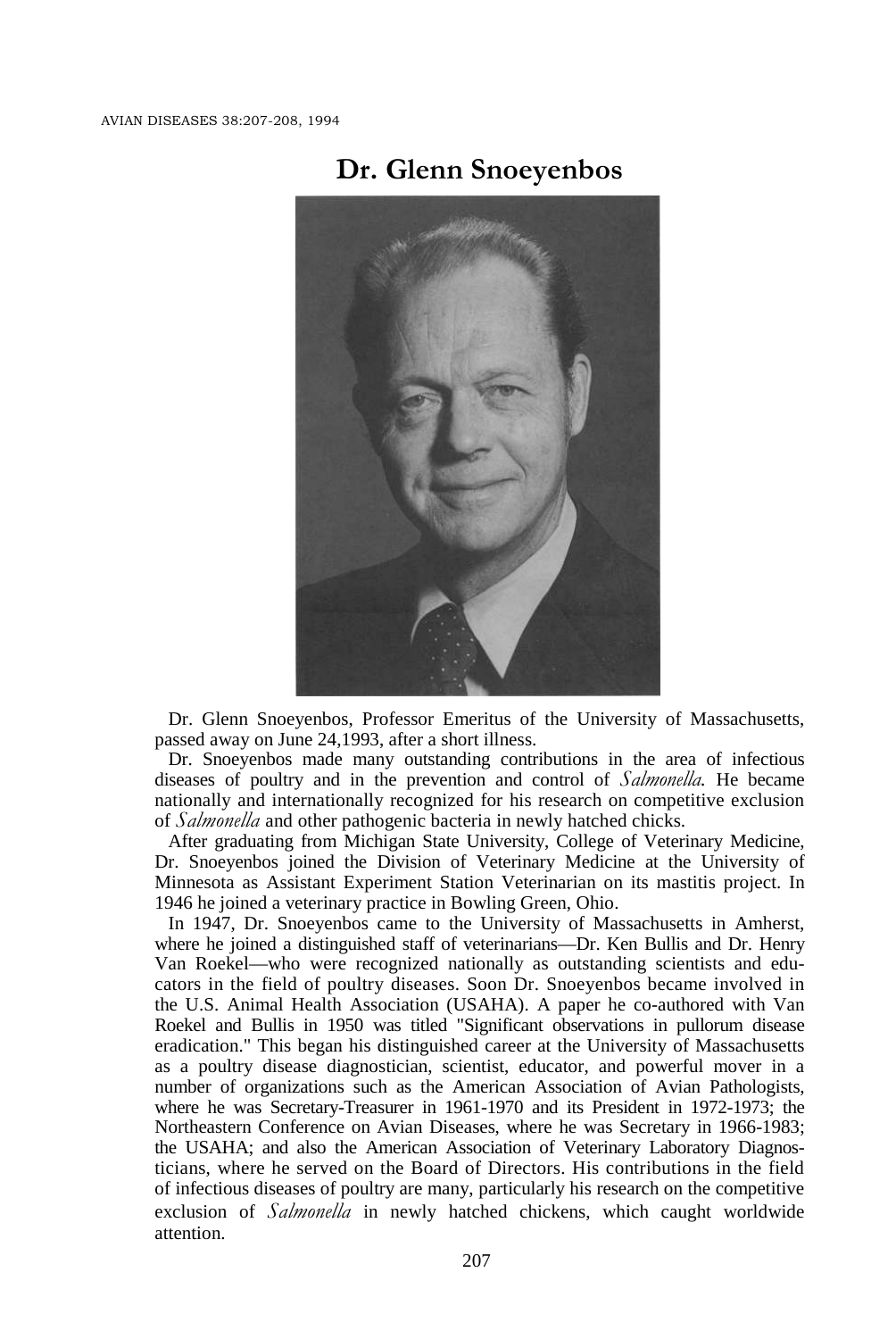

## **Dr. Glenn Snoeyenbos**

Dr. Glenn Snoeyenbos, Professor Emeritus of the University of Massachusetts, passed away on June 24,1993, after a short illness.

Dr. Snoeyenbos made many outstanding contributions in the area of infectious diseases of poultry and in the prevention and control of *Salmonella.* He became nationally and internationally recognized for his research on competitive exclusion of *Salmonella* and other pathogenic bacteria in newly hatched chicks.

After graduating from Michigan State University, College of Veterinary Medicine, Dr. Snoeyenbos joined the Division of Veterinary Medicine at the University of Minnesota as Assistant Experiment Station Veterinarian on its mastitis project. In 1946 he joined a veterinary practice in Bowling Green, Ohio.

In 1947, Dr. Snoeyenbos came to the University of Massachusetts in Amherst, where he joined a distinguished staff of veterinarians—Dr. Ken Bullis and Dr. Henry Van Roekel—who were recognized nationally as outstanding scientists and educators in the field of poultry diseases. Soon Dr. Snoeyenbos became involved in the U.S. Animal Health Association (USAHA). A paper he co-authored with Van Roekel and Bullis in 1950 was titled "Significant observations in pullorum disease eradication." This began his distinguished career at the University of Massachusetts as a poultry disease diagnostician, scientist, educator, and powerful mover in a number of organizations such as the American Association of Avian Pathologists, where he was Secretary-Treasurer in 1961-1970 and its President in 1972-1973; the Northeastern Conference on Avian Diseases, where he was Secretary in 1966-1983; the USAHA; and also the American Association of Veterinary Laboratory Diagnosticians, where he served on the Board of Directors. His contributions in the field of infectious diseases of poultry are many, particularly his research on the competitive exclusion of *Salmonella* in newly hatched chickens, which caught worldwide attention.